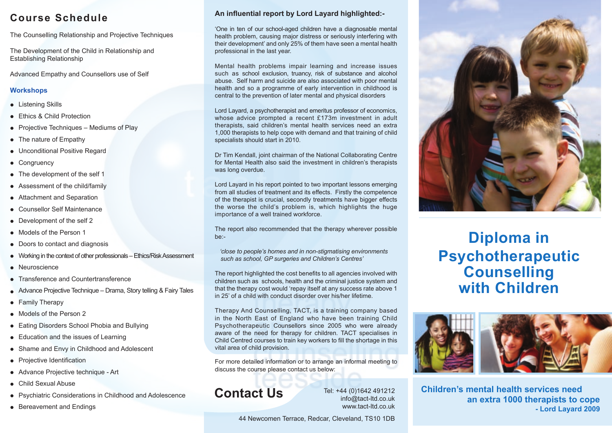# **Course Schedule**

The Counselling Relationship and Projective Techniques

The Development of the Child in Relationship and Establishing Relationship

Advanced Empathy and Counsellors use of Self

### **Workshops**

- Listening Skills
- **•** Ethics & Child Protection
- Projective Techniques Mediums of Play
- The nature of Empathy
- Unconditional Positive Regard
- Congruency
- The development of the self 1
- Assessment of the child/family
- Attachment and Separation
- Counsellor Self Maintenance
- Development of the self 2
- Models of the Person 1
- Doors to contact and diagnosis
- Working in the context of other professionals Ethics/Risk Assessment
- Neuroscience
- Transference and Countertransference
- Advance Projective Technique Drama, Story telling & Fairy Tales
- Family Therapy
- Models of the Person 2
- Eating Disorders School Phobia and Bullying
- Education and the issues of Learning
- Shame and Envy in Childhood and Adolescent
- Projective Identification
- Advance Projective technique Art
- Child Sexual Abuse
- Psychiatric Considerations in Childhood and Adolescence
- Bereavement and Endings

## **An influential report by Lord Layard highlighted:-**

'One in ten of our school-aged children have a diagnosable mental health problem, causing major distress or seriously interfering with their development' and only 25% of them have seen a mental health professional in the last year.

Mental health problems impair learning and increase issues such as school exclusion, truancy, risk of substance and alcohol abuse. Self harm and suicide are also associated with poor mental health and so a programme of early intervention in childhood is central to the prevention of later mental and physical disorders

Lord Layard, a psychotherapist and emeritus professor of economics, whose advice prompted a recent £173m investment in adult therapists, said children's mental health services need an extra 1,000 therapists to help cope with demand and that training of child specialists should start in 2010.

Dr Tim Kendall, joint chairman of the National Collaborating Centre for Mental Health also said the investment in children's therapists was long overdue.

Lord Layard in his report pointed to two important lessons emerging from all studies of treatment and its effects. Firstly the competence of the therapist is crucial, secondly treatments have bigger effects the worse the child's problem is, which highlights the huge importance of a well trained workforce.

The report also recommended that the therapy wherever possible be:-

 *'close to people's homes and in non-stigmatising environments such as school, GP surgeries and Children's Centres'*

The report highlighted the cost benefits to all agencies involved with children such as schools, health and the criminal justice system and that the therapy cost would 'repay itself at any success rate above 1 in 25' of a child with conduct disorder over his/her lifetime.

Therapy And Counselling, TACT, is a training company based in the North East of England who have been training Child Psychotherapeutic Counsellors since 2005 who were already aware of the need for therapy for children. TACT specialises in Child Centred courses to train key workers to fill the shortage in this vital area of child provision.

For more detailed information or to arrange an informal meeting to discuss the course please contact us below:

# **Contact Us**

Tel: +44 (0)1642 491212 info@tact-ltd.co.uk www.tact-ltd.co.uk

44 Newcomen Terrace, Redcar, Cleveland, TS10 1DB



# **Diploma in Psychotherapeutic Counselling with Children**



**Children's mental health services need an extra 1000 therapists to cope - Lord Layard 2009**